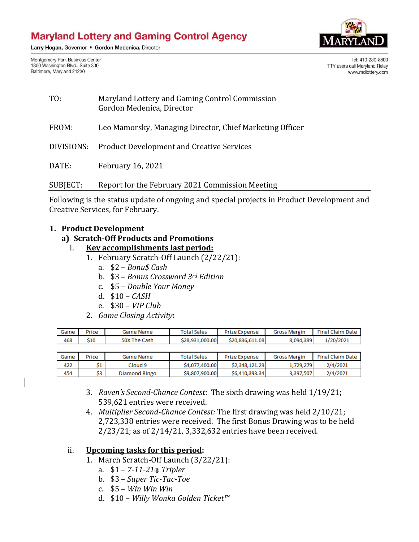Larry Hogan, Governor . Gordon Medenica, Director

Montgomery Park Business Center 1800 Washington Blvd., Suite 330 Baltimore, Maryland 21230



Tel: 410-230-8800 TTY users call Maryland Relay www.mdlottery.com

| TO:        | Maryland Lottery and Gaming Control Commission<br>Gordon Medenica, Director |
|------------|-----------------------------------------------------------------------------|
| FROM:      | Leo Mamorsky, Managing Director, Chief Marketing Officer                    |
| DIVISIONS: | <b>Product Development and Creative Services</b>                            |
| DATE:      | <b>February 16, 2021</b>                                                    |
| SUBJECT:   | Report for the February 2021 Commission Meeting                             |

Following is the status update of ongoing and special projects in Product Development and Creative Services, for February.

#### **1. Product Development**

### **a) Scratch-Off Products and Promotions**

- i. **Key accomplishments last period:**
	- 1. February Scratch-Off Launch (2/22/21):
		- a. \$2 *Bonu\$ Cash*
		- b. \$3 *Bonus Crossword 3rd Edition*
		- c. \$5 *Double Your Money*
		- d. \$10 *CASH*
		- e. \$30 *VIP Club*
	- 2. *Game Closing Activity***:**

| Game | Price | Game Name    | <b>Total Sales</b> | <b>Prize Expense</b> | <b>Gross Margin</b> | <b>Final Claim Date</b> |
|------|-------|--------------|--------------------|----------------------|---------------------|-------------------------|
| 468  | \$10  | 50X The Cash | \$28,931,000.00    | \$20,836,611,08      | 8,094,389           | 1/20/2021               |
|      |       |              |                    |                      |                     |                         |
|      |       |              |                    |                      |                     |                         |
| Game | Price | Game Name    | <b>Total Sales</b> | <b>Prize Expense</b> | <b>Gross Margin</b> | <b>Final Claim Date</b> |
| 422  | Ś1    | Cloud 9      | \$4,077,400.00     | \$2,348,121,29       | 1,729,279           | 2/4/2021                |

- 3. *Raven's Second-Chance Contest*: The sixth drawing was held 1/19/21; 539,621 entries were received.
- 4. *Multiplier Second-Chance Contest:* The first drawing was held 2/10/21; 2,723,338 entries were received. The first Bonus Drawing was to be held 2/23/21; as of 2/14/21, 3,332,632 entries have been received.

#### ii. **Upcoming tasks for this period:**

- 1. March Scratch-Off Launch (3/22/21):
	- a. \$1 *7-11-21® Tripler*
	- b. \$3 *Super Tic-Tac-Toe*
	- c. \$5 *Win Win Win*
	- d. \$10 *Willy Wonka Golden Ticket™*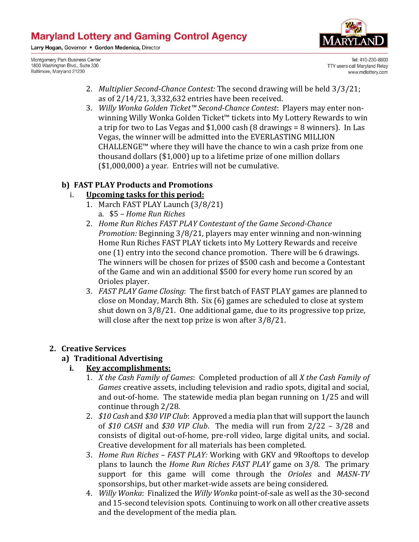Larry Hogan, Governor . Gordon Medenica, Director

Montgomery Park Business Center 1800 Washington Blvd., Suite 330 Baltimore, Maryland 21230



Tel: 410-230-8800 TTY users call Maryland Relay www.mdlottery.com

- 2. *Multiplier Second-Chance Contest:* The second drawing will be held 3/3/21; as of 2/14/21, 3,332,632 entries have been received.
- 3. *Willy Wonka Golden Ticket™ Second-Chance Contest*: Players may enter nonwinning Willy Wonka Golden Ticket™ tickets into My Lottery Rewards to win a trip for two to Las Vegas and \$1,000 cash (8 drawings = 8 winners). In Las Vegas, the winner will be admitted into the EVERLASTING MILLION CHALLENGE™ where they will have the chance to win a cash prize from one thousand dollars (\$1,000) up to a lifetime prize of one million dollars (\$1,000,000) a year*.* Entries will not be cumulative.

## **b) FAST PLAY Products and Promotions**

## i. **Upcoming tasks for this period:**

- 1. March FAST PLAY Launch (3/8/21) a. \$5 *– Home Run Riches*
- 2. *Home Run Riches FAST PLAY Contestant of the Game Second-Chance Promotion:* Beginning 3/8/21, players may enter winning and non-winning Home Run Riches FAST PLAY tickets into My Lottery Rewards and receive one (1) entry into the second chance promotion. There will be 6 drawings. The winners will be chosen for prizes of \$500 cash and become a Contestant of the Game and win an additional \$500 for every home run scored by an Orioles player.
- 3. *FAST PLAY Game Closing*: The first batch of FAST PLAY games are planned to close on Monday, March 8th. Six (6) games are scheduled to close at system shut down on 3/8/21. One additional game, due to its progressive top prize, will close after the next top prize is won after  $3/8/21$ .

## **2. Creative Services**

## **a) Traditional Advertising**

## **i. Key accomplishments:**

- 1. *X the Cash Family of Games*: Completed production of all *X the Cash Family of Games* creative assets, including television and radio spots, digital and social, and out-of-home. The statewide media plan began running on 1/25 and will continue through 2/28.
- 2. *\$10 Cash* and *\$30 VIP Club*: Approved a media plan that will support the launch of *\$10 CASH* and *\$30 VIP Club*. The media will run from 2/22 – 3/28 and consists of digital out-of-home, pre-roll video, large digital units, and social. Creative development for all materials has been completed.
- 3. *Home Run Riches – FAST PLAY:* Working with GKV and 9Rooftops to develop plans to launch the *Home Run Riches FAST PLAY* game on 3/8. The primary support for this game will come through the *Orioles* and *MASN-TV* sponsorships, but other market-wide assets are being considered.
- 4. *Willy Wonka*: Finalized the *Willy Wonka* point-of-sale as well as the 30-second and 15-second television spots. Continuing to work on all other creative assets and the development of the media plan.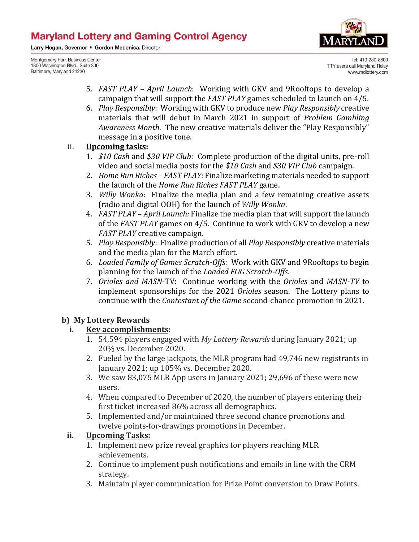Larry Hogan, Governor . Gordon Medenica, Director

Montgomery Park Business Center 1800 Washington Blvd., Suite 330 Baltimore, Maryland 21230



Tel: 410-230-8800 TTY users call Maryland Relay www.mdlottery.com

- 5. *FAST PLAY April Launch*: Working with GKV and 9Rooftops to develop a campaign that will support the *FAST PLAY* games scheduled to launch on 4/5.
- 6. *Play Responsibly*: Working with GKV to produce new *Play Responsibly* creative materials that will debut in March 2021 in support of *Problem Gambling Awareness Month*. The new creative materials deliver the "Play Responsibly" message in a positive tone.

#### ii. **Upcoming tasks:**

- 1. *\$10 Cash* and *\$30 VIP Club*: Complete production of the digital units, pre-roll video and social media posts for the *\$10 Cash* and *\$30 VIP Club* campaign.
- 2. *Home Run Riches – FAST PLAY:* Finalize marketing materials needed to support the launch of the *Home Run Riches FAST PLAY* game.
- 3. *Willy Wonka*: Finalize the media plan and a few remaining creative assets (radio and digital OOH) for the launch of *Willy Wonka*.
- 4. *FAST PLAY April Launch:* Finalize the media plan that will support the launch of the *FAST PLAY* games on 4/5. Continue to work with GKV to develop a new *FAST PLAY* creative campaign.
- 5. *Play Responsibly*: Finalize production of all *Play Responsibly* creative materials and the media plan for the March effort.
- 6. *Loaded Family of Games Scratch-Offs*: Work with GKV and 9Rooftops to begin planning for the launch of the *Loaded FOG Scratch-Offs*.
- 7. *Orioles and MASN*-TV: Continue working with the *Orioles* and *MASN-TV* to implement sponsorships for the 2021 *Orioles* season. The Lottery plans to continue with the *Contestant of the Game* second-chance promotion in 2021.

## **b) My Lottery Rewards**

## **i. Key accomplishments:**

- 1. 54,594 players engaged with *My Lottery Rewards* during January 2021; up 20% vs. December 2020.
- 2. Fueled by the large jackpots, the MLR program had 49,746 new registrants in January 2021; up 105% vs. December 2020.
- 3. We saw 83,075 MLR App users in January 2021; 29,696 of these were new users.
- 4. When compared to December of 2020, the number of players entering their first ticket increased 86% across all demographics.
- 5. Implemented and/or maintained three second chance promotions and twelve points-for-drawings promotions in December.

## **ii. Upcoming Tasks:**

- 1. Implement new prize reveal graphics for players reaching MLR achievements.
- 2. Continue to implement push notifications and emails in line with the CRM strategy.
- 3. Maintain player communication for Prize Point conversion to Draw Points.